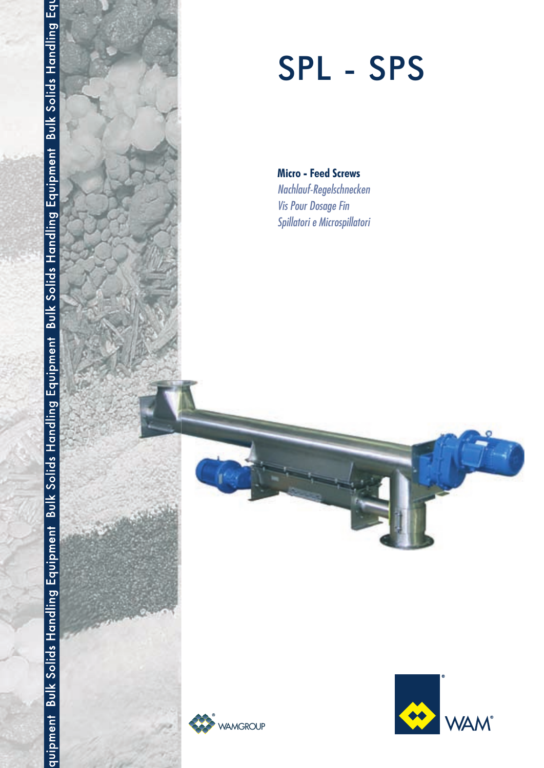



# SPL - SPS

**Micro - Feed Screws** Nachlauf-Regelschnecken **Vis Pour Dosage Fin** Spillatori e Microspillatori



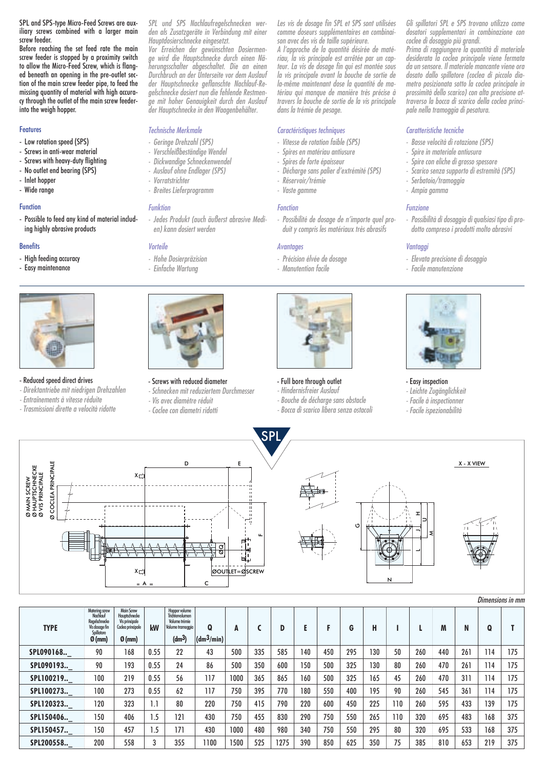SPL and SPS-type Micro-Feed Screws are auxiliary screws combined with a larger main screw feeder.

Before reaching the set feed rate the main screw feeder is stopped by a proximity switch to allow the Micro-Feed Screw, which is flanged beneath an opening in the pre-outlet section of the main screw feeder pipe, to feed the missing quantity of material with high accuracy through the outlet of the main screw feederinto the weigh hopper.

#### **Features**

- Low rotation speed (SPS)
- Screws in anti-wear material
- Screws with heavy-duty flighting
- No outlet end bearing (SPS)
- Inlet hopper
- Wide range

# Function

- Possible to feed any kind of material including highly abrasive products

#### **Benefits**

Ø MAIN SCREW Ø HAUPTSCHNECKE Ø VIS PRINCIPALE

i MAIN SCREW<br>i HAUPTSCHNECKE<br>i VIS PRINCIPALE

aãã

- High feeding accuracy
- Easy maintenance



# - Reduced speed direct drives

- *Direktantriebe mit niedrigen Drehzahlen*
- *Entraînements à vitesse réduite*
- *Trasmissioni dirette a velocità ridotte*

*SPL und SPS Nachlaufregelschnecken werden als Zusatzgeräte in Verbindung mit einer Hauptdosierschnecke eingesetzt.* 

*Vor Erreichen der gewünschten Dosiermenge wird die Hauptschnecke durch einen Näherungsschalter abgeschaltet. Die an einen Durchbruch an der Unterseite vor dem Auslauf der Hauptschnecke geflanschte Nachlauf-Regelschnecke dosiert nun die fehlende Restmenge mit hoher Genauigkeit durch den Auslauf der Hauptschnecke in den Waagenbehälter.*

# *Technische Merkmale*

- *Geringe Drehzahl (SPS)*
- *Verschleißbeständige Wendel*
- *Dickwandige Schneckenwendel*
- *Auslauf ohne Endlager (SPS)*
- *Vorratstrichter*
- *Breites Lieferprogramm*

# *Funktion*

*- Jedes Produkt (auch äußerst abrasive Medien) kann dosiert werden*

# *Vorteile*

- *Hohe Dosierpräzision*
- *Einfache Wartung*



#### - Screws with reduced diameter

- *Schnecken mit reduziertem Durchmesser*
- 
- 



*A l'approche de la quantité désirée de matériau, la vis principale est arrêtée par un capteur. La vis de dosage fin qui est montée sous la vis principale avant la bouche de sortie de la-même maintenant dose la quantité de matériau qui manque de manière très précise à travers la bouche de sortie de la vis principale dans la trémie de pesage.*

# *Caractéristiques techniques*

- *Vitesse de rotation faible (SPS)*
- *Spires en matériau antiusure*
- *Spires de forte épaisseur*
- *Décharge sans palier d'extrémité (SPS)*
- *Réservoir/trémie*
- *Vaste gamme*

#### *Fonction*

*- Possibilité de dosage de n'importe quel produit y compris les matériaux très abrasifs*

#### *Avantages*

- *Précision élvée de dosage*
- *Manutention facile*



# - Full bore through outlet

- *Hindernisfreier Auslauf*
- *Bouche de décharge sans obstacle - Bocca di scarico libera senza ostacoli*
- 

*Gli spillatori SPL e SPS trovano utilizzo come dosatori supplementari in combinazione con coclee di dosaggio più grandi.*

*Prima di raggiungere la quantità di materiale desiderata la coclea principale viene fermata da un sensore. Il materiale mancante viene ora dosato dallo spillatore (coclea di piccolo diametro posizionata sotto la coclea principale in prossimità dello scarico) con alta precisione attraverso la bocca di scarico della coclea principale nella tramoggia di pesatura.*

## *Caratteristiche tecniche*

- *Basse velocità di rotazione (SPS)*
- *Spire in materiale antiusura*
- *Spire con eliche di grosso spessore*
- *Scarico senza supporto di estremità (SPS)*
- *Serbatoio/tramoggia*
- *Ampia gamma*

# *Funzione*

*- Possibilità di dosaggio di qualsiasi tipo di prodotto compreso i prodotti molto abrasivi*

### *Vantaggi*

- *Elevata precisione di dosaggio*
- *Facile manutenzione*



# - Easy inspection

- *Leichte Zugänglichkeit*
- *Facile à inspectionner*
- *Facile ispezionabilità*

X - X VIEW COCLEA PRINCIPALE Ø COCLEA PRINCIPALE D E  $X\square$ I ⊃ GL \ {`[`\ ||\\\_T JM $\overline{\phantom{0}}$ ØOUTLET=ØSCREW  $X \cap Y$ A = Reserve that the contract of the contract of the contract of the contract of the contract of the contract o<br>A = Reserve that the contract of the contract of the contract of the contract of the contract of the contract

SPL

500 335 585 140 450 295 130 50 260 440 261 114 500 350 600 150 500 325 130 80 260 470 261 114 1000 365 865 160 500 325 165 45 260 470 311 114 750 395 770 180 550 400 195 90 260 545 361 114 750 415 790 220 600 450 225 110 260 595 433 139 750 455 830 290 750 550 265 110 320 695 483 168 1000 480 980 340 750 550 295 80 320 695 533 168 1500 525 1275 390 850 625 350 75 385 810 653 219 0.55 0.55 0.55 0.55 1.1 1.5 1.5 3 **kW** 22 43 24 86 56 117 62 117 80 220 121 430 171 430 355 1100 Hopper volume Trichtervolumen Volume trémie Volume tramoggia **(dm3) Q (dm3/min) A C D E F G H I L M N Q SPL090193..\_ SPL090168..\_ SPL100219..\_ SPL100273..\_ SPL150406..\_ SPL120323..\_ SPL150457..\_ SPL200558..\_** 175 175 175 175 175 375 375 375 **T** 90 168 90 193 100 219 100 273 120 323 150 406 150 457 200 558 Main Screw<br>Hauptschnecke<br>Vis principale<br>Codea principale **Ø (mm)** Matering screw Nachlauf Regelschnecke Vis dosage fin Spillatore **Ø (mm) TYPE** 





- 
- 
- *Vis avec diamètre réduit*
- *Coclee con diametri ridotti*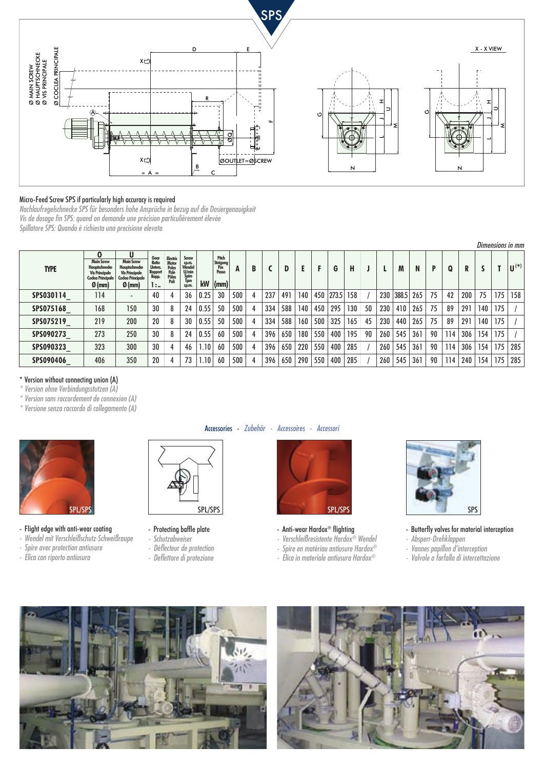

# Micro-Feed Screw SPS if particularly high accuracy is required

*Nachlaufregelschnecke SPS für besonders hohe Ansprüche in bezug auf die Dosiergenauigkeit Vis de dosage fin SPS: quand on demande une précision particulièrement élevée Spillatore SPS: Quando è richiesta una precisione elevata*

|             | Dimensions in mm                                                                                                 |                                                                                                                 |                                                          |                                                     |                                                                          |      |                                                   |     |   |     |     |     |     |           |     |    |     |       |     |    |     |     |     |     |                    |
|-------------|------------------------------------------------------------------------------------------------------------------|-----------------------------------------------------------------------------------------------------------------|----------------------------------------------------------|-----------------------------------------------------|--------------------------------------------------------------------------|------|---------------------------------------------------|-----|---|-----|-----|-----|-----|-----------|-----|----|-----|-------|-----|----|-----|-----|-----|-----|--------------------|
| <b>TYPE</b> | 0<br><b>Main Screw</b><br>Hauptschnecke<br><b>Vis Principale</b><br><b>Coclea Principale</b><br>$\emptyset$ (mm) | U<br><b>Main Screw</b><br><b>Hauptschnecke</b><br><b>Vis Principale</b><br><b>Coclea Principale</b><br>$Ø$ (mm) | Gear<br>Ratio<br><b>Unters</b><br>Rapport<br>Rapp.<br>1: | Electric<br>Motor<br>Poles<br>Pole<br>Pôles<br>Poli | <b>Screw</b><br>r.pm.<br>Wendel<br>U/min<br><b>Spire</b><br>Tpm<br>rp.m. | kW   | Pitch<br>Steigung<br>Pas<br>Passo<br>$\vert$ (mm) | A   | B |     | D   |     | F   | G         | H   |    |     | M     | N.  | P  | Q   | R   |     |     | $\mathbf{U}^{(*)}$ |
| SPS030114   | 114                                                                                                              | $\overline{\phantom{a}}$                                                                                        | 40                                                       |                                                     | 36                                                                       | 0.25 | 30                                                | 500 |   | 237 | 491 | 140 |     | 450 273.5 | 158 |    | 230 | 388.5 | 265 | 75 | 42  | 200 | 75  | 175 | 158                |
| SPS075168   | 168                                                                                                              | 150                                                                                                             | 30                                                       |                                                     | 24                                                                       | 0.55 | 50                                                | 500 |   | 334 | 588 | 140 | 450 | 295       | 130 | 50 | 230 | 410   | 265 | 75 | 89  | 291 | 140 | 175 |                    |
| SPS075219   | 219                                                                                                              | 200                                                                                                             | 20                                                       |                                                     | 30                                                                       | 0.55 | 50                                                | 500 |   | 334 | 588 | 160 | 500 | 325       | 165 | 45 | 230 | 440   | 265 | 75 | 89  | 291 | 140 | 175 |                    |
| SPS090273   | 273                                                                                                              | 250                                                                                                             | 30                                                       |                                                     | 24                                                                       | 0.55 | 60                                                | 500 |   | 396 | 650 | 180 | 550 | 400       | 195 | 90 | 260 | 545   | 361 | 90 | 114 | 306 | 154 | 175 |                    |
| SPS090323   | 323                                                                                                              | 300                                                                                                             | 30                                                       |                                                     | 46                                                                       | 1.10 | 60                                                | 500 |   | 396 | 650 | 220 | 550 | 400       | 285 |    | 260 | 545   | 361 | 90 | 114 | 306 | 154 | 175 | 285                |
| SPS090406   | 406                                                                                                              | 350                                                                                                             | 20                                                       |                                                     | 73                                                                       | 1.10 | 60                                                | 500 |   | 396 | 650 | 290 | 550 | 400       | 285 |    | 260 | 545   | 361 | 90 | 114 | 240 | 154 | 175 | 285                |

#### \* Version without connecting union (A)

*\* Version ohne Verbindungsstutzen (A)*

*\* Version sans raccordement de connexion (A)*

*\* Versione senza raccordo di collegamento (A)*



- Flight edge with anti-wear coating
- *Wendel mit Verschleißschutz-Schweißraupe*
- *Spire avec protection antiusure*
- *Elica con riporto antiusura*



- Protecting baffle plate
- *Schutzabweiser*
- *Déflecteur de protection*
- *Deflettore di protezione*

# Accessories - *Zubehör - Accessoires - Accessori*



- Anti-wear Hardox® flighting
- *Verschleißresistente Hardox® Wendel*
- *Spire en matériau antiusure Hardox®*
- *Elica in materiale antiusura Hardox®*



- Butterfly valves for material interception
- *Absperr-Drehklappen*
- *Vannes papillon d'interception*
- *Valvole a farfalla di intercettazione*